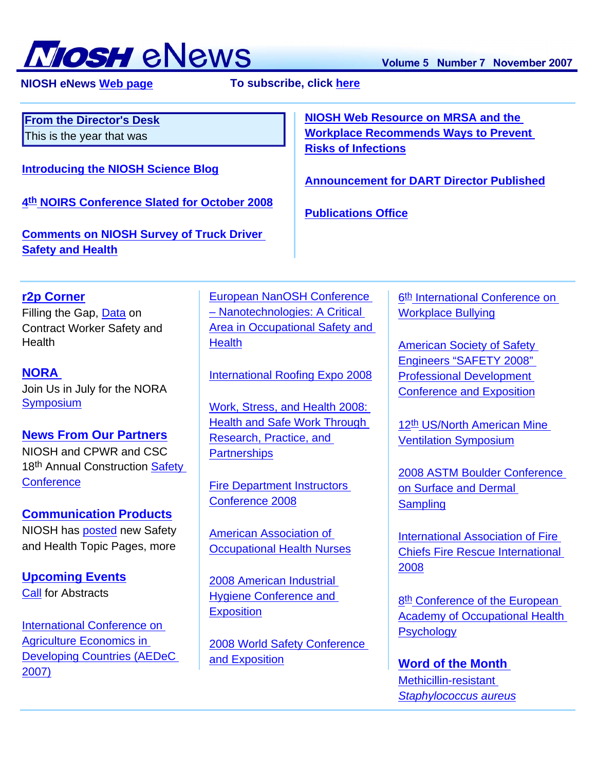

 **NIOSH eNews [Web page](http://www.cdc.gov/niosh/enews/) To subscribe, click [here](http://www.cdc.gov/niosh/enews/)**

<span id="page-0-0"></span>[2007\)](#page-4-2)

| <b>From the Director's Desk</b><br>This is the year that was<br><b>Introducing the NIOSH Science Blog</b><br>4th NOIRS Conference Slated for October 2008 |                                                         | <b>NIOSH Web Resource on MRSA and the</b><br><b>Workplace Recommends Ways to Prevent</b><br><b>Risks of Infections</b><br><b>Announcement for DART Director Published</b><br><b>Publications Office</b> |                                            |                                                                             |                                   |  |                                             |
|-----------------------------------------------------------------------------------------------------------------------------------------------------------|---------------------------------------------------------|---------------------------------------------------------------------------------------------------------------------------------------------------------------------------------------------------------|--------------------------------------------|-----------------------------------------------------------------------------|-----------------------------------|--|---------------------------------------------|
|                                                                                                                                                           |                                                         |                                                                                                                                                                                                         |                                            | <b>Comments on NIOSH Survey of Truck Driver</b><br><b>Safety and Health</b> |                                   |  |                                             |
|                                                                                                                                                           |                                                         |                                                                                                                                                                                                         |                                            | r <sub>2p</sub> Corner                                                      | <b>European NanOSH Conference</b> |  | 6 <sup>th</sup> International Conference on |
| Filling the Gap, Data on                                                                                                                                  | - Nanotechnologies: A Critical                          |                                                                                                                                                                                                         | <b>Workplace Bullying</b>                  |                                                                             |                                   |  |                                             |
| <b>Contract Worker Safety and</b>                                                                                                                         | <b>Area in Occupational Safety and</b><br><b>Health</b> |                                                                                                                                                                                                         |                                            |                                                                             |                                   |  |                                             |
| Health                                                                                                                                                    |                                                         |                                                                                                                                                                                                         | <b>American Society of Safety</b>          |                                                                             |                                   |  |                                             |
|                                                                                                                                                           |                                                         |                                                                                                                                                                                                         | <b>Engineers "SAFETY 2008"</b>             |                                                                             |                                   |  |                                             |
| <b>NORA</b>                                                                                                                                               | <b>International Roofing Expo 2008</b>                  |                                                                                                                                                                                                         | <b>Professional Development</b>            |                                                                             |                                   |  |                                             |
| Join Us in July for the NORA                                                                                                                              |                                                         |                                                                                                                                                                                                         | <b>Conference and Exposition</b>           |                                                                             |                                   |  |                                             |
| <b>Symposium</b>                                                                                                                                          | Work, Stress, and Health 2008:                          |                                                                                                                                                                                                         |                                            |                                                                             |                                   |  |                                             |
|                                                                                                                                                           | <b>Health and Safe Work Through</b>                     |                                                                                                                                                                                                         | 12 <sup>th</sup> US/North American Mine    |                                                                             |                                   |  |                                             |
| <b>News From Our Partners</b>                                                                                                                             | Research, Practice, and                                 |                                                                                                                                                                                                         | <b>Ventilation Symposium</b>               |                                                                             |                                   |  |                                             |
| NIOSH and CPWR and CSC                                                                                                                                    | <b>Partnerships</b>                                     |                                                                                                                                                                                                         |                                            |                                                                             |                                   |  |                                             |
| 18th Annual Construction Safety                                                                                                                           |                                                         |                                                                                                                                                                                                         | 2008 ASTM Boulder Conference               |                                                                             |                                   |  |                                             |
| Conference                                                                                                                                                | <b>Fire Department Instructors</b>                      |                                                                                                                                                                                                         | on Surface and Dermal                      |                                                                             |                                   |  |                                             |
|                                                                                                                                                           | <b>Conference 2008</b>                                  |                                                                                                                                                                                                         | <b>Sampling</b>                            |                                                                             |                                   |  |                                             |
| <b>Communication Products</b>                                                                                                                             |                                                         |                                                                                                                                                                                                         |                                            |                                                                             |                                   |  |                                             |
| NIOSH has posted new Safety                                                                                                                               | <b>American Association of</b>                          |                                                                                                                                                                                                         | <b>International Association of Fire</b>   |                                                                             |                                   |  |                                             |
| and Health Topic Pages, more                                                                                                                              | <b>Occupational Health Nurses</b>                       |                                                                                                                                                                                                         | <b>Chiefs Fire Rescue International</b>    |                                                                             |                                   |  |                                             |
|                                                                                                                                                           |                                                         |                                                                                                                                                                                                         | 2008                                       |                                                                             |                                   |  |                                             |
| <b>Upcoming Events</b>                                                                                                                                    | 2008 American Industrial                                |                                                                                                                                                                                                         |                                            |                                                                             |                                   |  |                                             |
| <b>Call for Abstracts</b>                                                                                                                                 | <b>Hygiene Conference and</b>                           |                                                                                                                                                                                                         | 8 <sup>th</sup> Conference of the European |                                                                             |                                   |  |                                             |
|                                                                                                                                                           | <b>Exposition</b>                                       |                                                                                                                                                                                                         | <b>Academy of Occupational Health</b>      |                                                                             |                                   |  |                                             |
| International Conference on                                                                                                                               |                                                         |                                                                                                                                                                                                         | <b>Psychology</b>                          |                                                                             |                                   |  |                                             |
| <b>Agriculture Economics in</b>                                                                                                                           | <b>2008 World Safety Conference</b>                     |                                                                                                                                                                                                         |                                            |                                                                             |                                   |  |                                             |
| <b>Developing Countries (AEDeC</b>                                                                                                                        | and Exposition                                          |                                                                                                                                                                                                         |                                            |                                                                             |                                   |  |                                             |

[and Exposition](#page-5-1)

**[Word of the Month](#page-5-7)** [Methicillin-resistant](#page-5-8)  *[Staphylococcus aureus](#page-5-8)*

Volume 5 Number 7 November 2007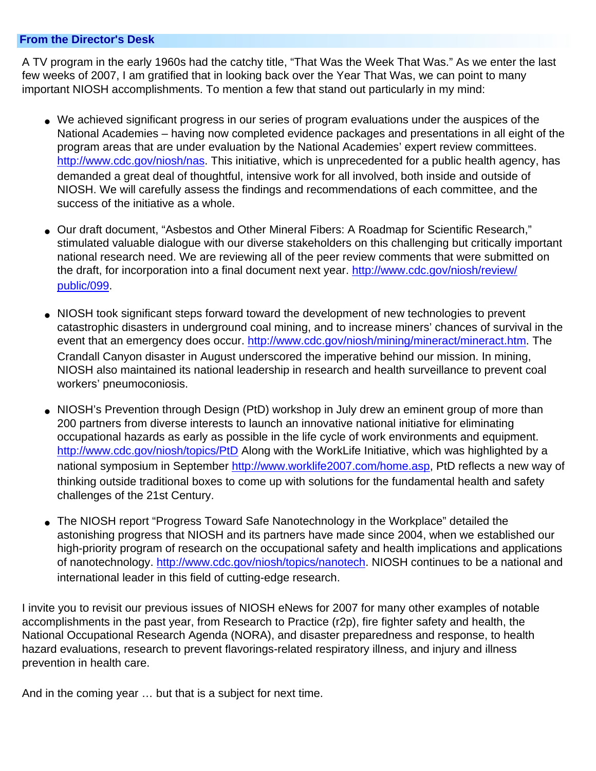### **From the Director's Desk**

A TV program in the early 1960s had the catchy title, "That Was the Week That Was." As we enter the last few weeks of 2007, I am gratified that in looking back over the Year That Was, we can point to many important NIOSH accomplishments. To mention a few that stand out particularly in my mind:

- We achieved significant progress in our series of program evaluations under the auspices of the National Academies – having now completed evidence packages and presentations in all eight of the program areas that are under evaluation by the National Academies' expert review committees. <http://www.cdc.gov/niosh/nas>. This initiative, which is unprecedented for a public health agency, has demanded a great deal of thoughtful, intensive work for all involved, both inside and outside of NIOSH. We will carefully assess the findings and recommendations of each committee, and the success of the initiative as a whole.
- Our draft document, "Asbestos and Other Mineral Fibers: A Roadmap for Scientific Research," stimulated valuable dialogue with our diverse stakeholders on this challenging but critically important national research need. We are reviewing all of the peer review comments that were submitted on the draft, for incorporation into a final document next year. [http://www.cdc.gov/niosh/review/](http://www.cdc.gov/niosh/review/public/099) [public/099](http://www.cdc.gov/niosh/review/public/099).
- NIOSH took significant steps forward toward the development of new technologies to prevent catastrophic disasters in underground coal mining, and to increase miners' chances of survival in the event that an emergency does occur. [http://www.cdc.gov/niosh/mining/mineract/mineract.htm.](http://www.cdc.gov/niosh/mining/mineract/mineract.htm) The Crandall Canyon disaster in August underscored the imperative behind our mission. In mining, NIOSH also maintained its national leadership in research and health surveillance to prevent coal workers' pneumoconiosis.
- NIOSH's Prevention through Design (PtD) workshop in July drew an eminent group of more than 200 partners from diverse interests to launch an innovative national initiative for eliminating occupational hazards as early as possible in the life cycle of work environments and equipment. <http://www.cdc.gov/niosh/topics/PtD>Along with the WorkLife Initiative, which was highlighted by a national symposium in September [http://www.worklife2007.com/home.asp,](http://www.worklife2007.com/home.asp) PtD reflects a new way of thinking outside traditional boxes to come up with solutions for the fundamental health and safety challenges of the 21st Century.
- The NIOSH report "Progress Toward Safe Nanotechnology in the Workplace" detailed the astonishing progress that NIOSH and its partners have made since 2004, when we established our high-priority program of research on the occupational safety and health implications and applications of nanotechnology. [http://www.cdc.gov/niosh/topics/nanotech.](http://www.cdc.gov/niosh/topics/nanotech) NIOSH continues to be a national and international leader in this field of cutting-edge research.

I invite you to revisit our previous issues of NIOSH eNews for 2007 for many other examples of notable accomplishments in the past year, from Research to Practice (r2p), fire fighter safety and health, the National Occupational Research Agenda (NORA), and disaster preparedness and response, to health hazard evaluations, research to prevent flavorings-related respiratory illness, and injury and illness prevention in health care.

<span id="page-1-0"></span>And in the coming year … but that is a subject for next time.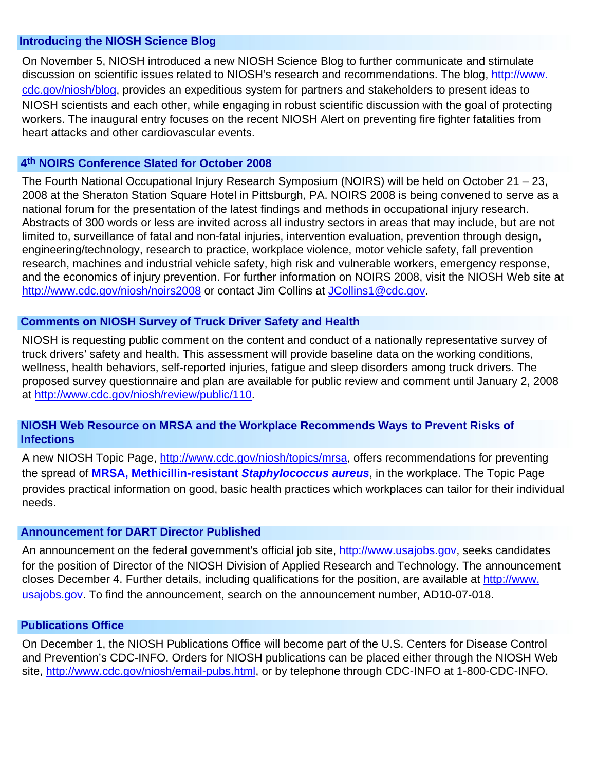### **Introducing the NIOSH Science Blog**

On November 5, NIOSH introduced a new NIOSH Science Blog to further communicate and stimulate discussion on scientific issues related to NIOSH's research and recommendations. The blog, [http://www.](http://www.cdc.gov/niosh/blog) [cdc.gov/niosh/blog,](http://www.cdc.gov/niosh/blog) provides an expeditious system for partners and stakeholders to present ideas to NIOSH scientists and each other, while engaging in robust scientific discussion with the goal of protecting workers. The inaugural entry focuses on the recent NIOSH Alert on preventing fire fighter fatalities from heart attacks and other cardiovascular events.

### <span id="page-2-0"></span> **4th NOIRS Conference Slated for October 2008**

The Fourth National Occupational Injury Research Symposium (NOIRS) will be held on October 21 – 23, 2008 at the Sheraton Station Square Hotel in Pittsburgh, PA. NOIRS 2008 is being convened to serve as a national forum for the presentation of the latest findings and methods in occupational injury research. Abstracts of 300 words or less are invited across all industry sectors in areas that may include, but are not limited to, surveillance of fatal and non-fatal injuries, intervention evaluation, prevention through design, engineering/technology, research to practice, workplace violence, motor vehicle safety, fall prevention research, machines and industrial vehicle safety, high risk and vulnerable workers, emergency response, and the economics of injury prevention. For further information on NOIRS 2008, visit the NIOSH Web site at <http://www.cdc.gov/niosh/noirs2008>or contact Jim Collins at [JCollins1@cdc.gov.](mailto:JCollins1@cdc.gov)

### <span id="page-2-1"></span> **Comments on NIOSH Survey of Truck Driver Safety and Health**

NIOSH is requesting public comment on the content and conduct of a nationally representative survey of truck drivers' safety and health. This assessment will provide baseline data on the working conditions, wellness, health behaviors, self-reported injuries, fatigue and sleep disorders among truck drivers. The proposed survey questionnaire and plan are available for public review and comment until January 2, 2008 at [http://www.cdc.gov/niosh/review/public/110.](http://www.cdc.gov/niosh/review/public/110)

## <span id="page-2-2"></span> **NIOSH Web Resource on MRSA and the Workplace Recommends Ways to Prevent Risks of Infections**

A new NIOSH Topic Page, [http://www.cdc.gov/niosh/topics/mrsa,](http://www.cdc.gov/niosh/topics/mrsa) offers recommendations for preventing the spread of **[MRSA, Methicillin-resistant](#page-5-7)** *Staphylococcus aureus*, in the workplace. The Topic Page provides practical information on good, basic health practices which workplaces can tailor for their individual needs.

### <span id="page-2-3"></span> **Announcement for DART Director Published**

An announcement on the federal government's official job site, [http://www.usajobs.gov](http://www.usajobs.gov/), seeks candidates for the position of Director of the NIOSH Division of Applied Research and Technology. The announcement closes December 4. Further details, including qualifications for the position, are available at [http://www.](http://www.usajobs.gov/) [usajobs.gov](http://www.usajobs.gov/). To find the announcement, search on the announcement number, AD10-07-018.

#### <span id="page-2-4"></span> **Publications Office**

<span id="page-2-5"></span>On December 1, the NIOSH Publications Office will become part of the U.S. Centers for Disease Control and Prevention's CDC-INFO. Orders for NIOSH publications can be placed either through the NIOSH Web site, [http://www.cdc.gov/niosh/email-pubs.html,](http://www.cdc.gov/niosh/email-pubs.html) or by telephone through CDC-INFO at 1-800-CDC-INFO.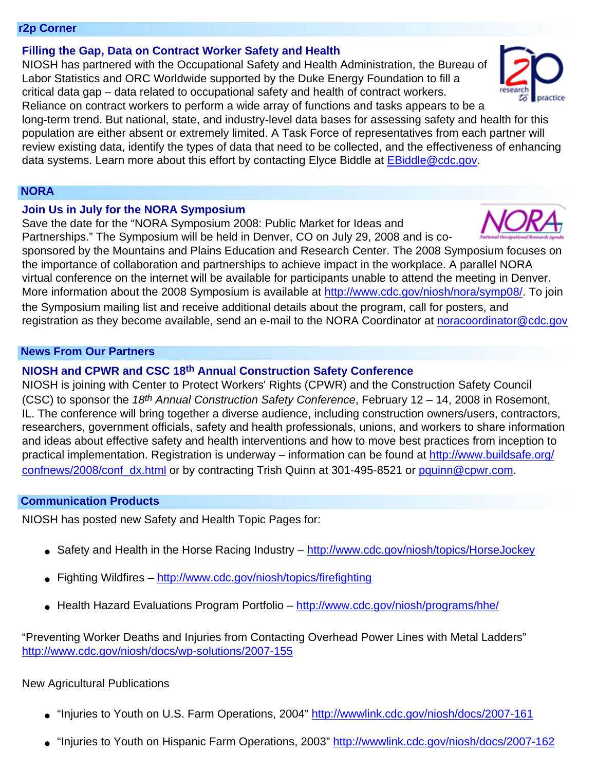#### **r2p Corner**

<span id="page-3-0"></span>**Filling the Gap, Data on Contract Worker Safety and Health**

NIOSH has partnered with the Occupational Safety and Health Administration, the Bureau of Labor Statistics and ORC Worldwide supported by the Duke Energy Foundation to fill a critical data gap – data related to occupational safety and health of contract workers. Reliance on contract workers to perform a wide array of functions and tasks appears to be a

long-term trend. But national, state, and industry-level data bases for assessing safety and health for this population are either absent or extremely limited. A Task Force of representatives from each partner will review existing data, identify the types of data that need to be collected, and the effectiveness of enhancing data systems. Learn more about this effort by contacting Elyce Biddle at [EBiddle@cdc.gov](mailto:EBiddle@cdc.gov).

### <span id="page-3-1"></span> **NORA**

### <span id="page-3-2"></span>**Join Us in July for the NORA Symposium**

Save the date for the "NORA Symposium 2008: Public Market for Ideas and Partnerships." The Symposium will be held in Denver, CO on July 29, 2008 and is co-

sponsored by the Mountains and Plains Education and Research Center. The 2008 Symposium focuses on the importance of collaboration and partnerships to achieve impact in the workplace. A parallel NORA virtual conference on the internet will be available for participants unable to attend the meeting in Denver. More information about the 2008 Symposium is available at [http://www.cdc.gov/niosh/nora/symp08/.](http://www.cdc.gov/niosh/nora/symp08/) To join the Symposium mailing list and receive additional details about the program, call for posters, and registration as they become available, send an e-mail to the NORA Coordinator at [noracoordinator@cdc.gov](mailto:noracoordinator@cdc.gov)

#### <span id="page-3-4"></span><span id="page-3-3"></span> **News From Our Partners**

### **NIOSH and CPWR and CSC 18th Annual Construction Safety Conference**

NIOSH is joining with Center to Protect Workers' Rights (CPWR) and the Construction Safety Council (CSC) to sponsor the *18th Annual Construction Safety Conference*, February 12 – 14, 2008 in Rosemont, IL. The conference will bring together a diverse audience, including construction owners/users, contractors, researchers, government officials, safety and health professionals, unions, and workers to share information and ideas about effective safety and health interventions and how to move best practices from inception to practical implementation. Registration is underway – information can be found at [http://www.buildsafe.org/](http://www.buildsafe.org/confnews/2008/conf_dx.html) [confnews/2008/conf\\_dx.html](http://www.buildsafe.org/confnews/2008/conf_dx.html) or by contracting Trish Quinn at 301-495-8521 or [pquinn@cpwr.com](mailto:pquinn@cpwr.com).

### <span id="page-3-6"></span><span id="page-3-5"></span> **Communication Products**

NIOSH has posted new Safety and Health Topic Pages for:

- Safety and Health in the Horse Racing Industry <http://www.cdc.gov/niosh/topics/HorseJockey>
- Fighting Wildfires <http://www.cdc.gov/niosh/topics/firefighting>
- Health Hazard Evaluations Program Portfolio <http://www.cdc.gov/niosh/programs/hhe/>

"Preventing Worker Deaths and Injuries from Contacting Overhead Power Lines with Metal Ladders" <http://www.cdc.gov/niosh/docs/wp-solutions/2007-155>

### New Agricultural Publications

- "Injuries to Youth on U.S. Farm Operations, 2004"<http://wwwlink.cdc.gov/niosh/docs/2007-161>
- "Injuries to Youth on Hispanic Farm Operations, 2003"<http://wwwlink.cdc.gov/niosh/docs/2007-162>





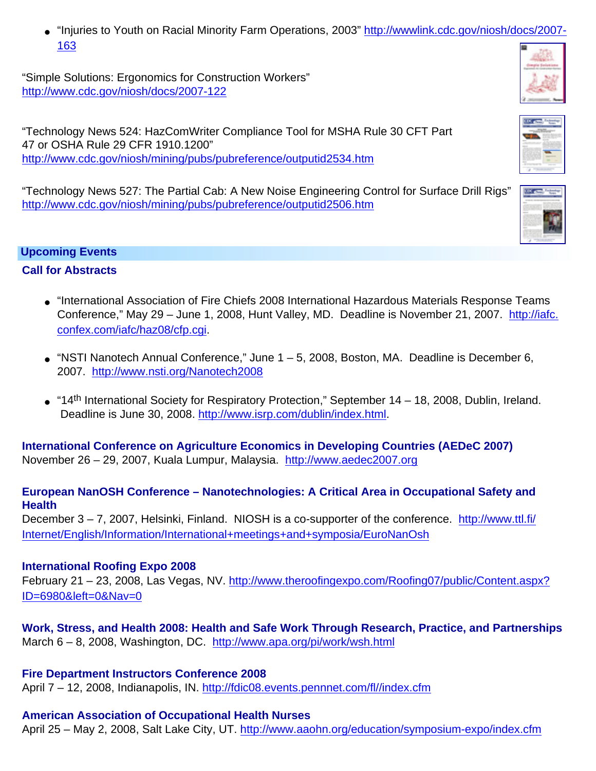• "Injuries to Youth on Racial Minority Farm Operations, 2003" [http://wwwlink.cdc.gov/niosh/docs/2007-](http://wwwlink.cdc.gov/niosh/docs/2007-163) [163](http://wwwlink.cdc.gov/niosh/docs/2007-163)

"Simple Solutions: Ergonomics for Construction Workers" <http://www.cdc.gov/niosh/docs/2007-122>

"Technology News 524: HazComWriter Compliance Tool for MSHA Rule 30 CFT Part 47 or OSHA Rule 29 CFR 1910.1200" <http://www.cdc.gov/niosh/mining/pubs/pubreference/outputid2534.htm>

"Technology News 527: The Partial Cab: A New Noise Engineering Control for Surface Drill Rigs" <http://www.cdc.gov/niosh/mining/pubs/pubreference/outputid2506.htm>



# <span id="page-4-1"></span><span id="page-4-0"></span>**Call for Abstracts**

- "International Association of Fire Chiefs 2008 International Hazardous Materials Response Teams Conference," May 29 – June 1, 2008, Hunt Valley, MD. Deadline is November 21, 2007. [http://iafc.](http://iafc.confex.com/iafc/haz08/cfp.cgi) [confex.com/iafc/haz08/cfp.cgi](http://iafc.confex.com/iafc/haz08/cfp.cgi).
- $\bullet$  "NSTI Nanotech Annual Conference," June 1 5, 2008, Boston, MA. Deadline is December 6, 2007. <http://www.nsti.org/Nanotech2008>
- "14<sup>th</sup> International Society for Respiratory Protection," September 14 18, 2008, Dublin, Ireland. Deadline is June 30, 2008. [http://www.isrp.com/dublin/index.html.](http://www.isrp.com/dublin/index.html)

<span id="page-4-2"></span>**International Conference on Agriculture Economics in Developing Countries (AEDeC 2007)** November 26 – 29, 2007, Kuala Lumpur, Malaysia. [http://www.aedec2007.org](http://www.aedec2007.org/)

# <span id="page-4-3"></span>**European NanOSH Conference – Nanotechnologies: A Critical Area in Occupational Safety and Health**

December 3 – 7, 2007, Helsinki, Finland. NIOSH is a co-supporter of the conference. [http://www.ttl.fi/](http://www.ttl.fi/Internet/English/Information/International+meetings+and+symposia/EuroNanOsh) [Internet/English/Information/International+meetings+and+symposia/EuroNanOsh](http://www.ttl.fi/Internet/English/Information/International+meetings+and+symposia/EuroNanOsh)

# **International Roofing Expo 2008**

<span id="page-4-4"></span>February 21 – 23, 2008, Las Vegas, NV. [http://www.theroofingexpo.com/Roofing07/public/Content.aspx?](http://www.theroofingexpo.com/Roofing07/public/Content.aspx?ID=6980&left=0&Nav=0) [ID=6980&left=0&Nav=0](http://www.theroofingexpo.com/Roofing07/public/Content.aspx?ID=6980&left=0&Nav=0)

<span id="page-4-5"></span>**Work, Stress, and Health 2008: Health and Safe Work Through Research, Practice, and Partnerships** March 6 – 8, 2008, Washington, DC. <http://www.apa.org/pi/work/wsh.html>

# **Fire Department Instructors Conference 2008**

<span id="page-4-6"></span>April 7 – 12, 2008, Indianapolis, IN. [http://fdic08.events.pennnet.com/fl//index.cfm](http://fdic08.events.pennnet.com/fl/index.cfm)

# **American Association of Occupational Health Nurses**

<span id="page-4-7"></span>April 25 – May 2, 2008, Salt Lake City, UT. <http://www.aaohn.org/education/symposium-expo/index.cfm>



**SERVICE** SHOW